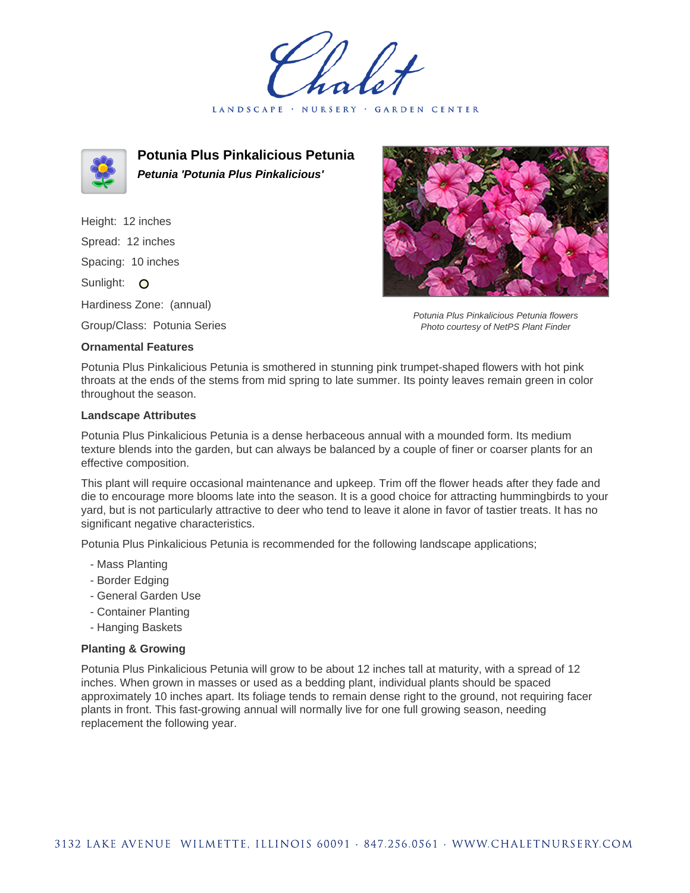LANDSCAPE · NURSERY · GARDEN CENTER



**Potunia Plus Pinkalicious Petunia Petunia 'Potunia Plus Pinkalicious'**

Height: 12 inches Spread: 12 inches Spacing: 10 inches Sunlight: O Hardiness Zone: (annual)

Group/Class: Potunia Series

## **Ornamental Features**



Potunia Plus Pinkalicious Petunia flowers Photo courtesy of NetPS Plant Finder

Potunia Plus Pinkalicious Petunia is smothered in stunning pink trumpet-shaped flowers with hot pink throats at the ends of the stems from mid spring to late summer. Its pointy leaves remain green in color throughout the season.

## **Landscape Attributes**

Potunia Plus Pinkalicious Petunia is a dense herbaceous annual with a mounded form. Its medium texture blends into the garden, but can always be balanced by a couple of finer or coarser plants for an effective composition.

This plant will require occasional maintenance and upkeep. Trim off the flower heads after they fade and die to encourage more blooms late into the season. It is a good choice for attracting hummingbirds to your yard, but is not particularly attractive to deer who tend to leave it alone in favor of tastier treats. It has no significant negative characteristics.

Potunia Plus Pinkalicious Petunia is recommended for the following landscape applications;

- Mass Planting
- Border Edging
- General Garden Use
- Container Planting
- Hanging Baskets

## **Planting & Growing**

Potunia Plus Pinkalicious Petunia will grow to be about 12 inches tall at maturity, with a spread of 12 inches. When grown in masses or used as a bedding plant, individual plants should be spaced approximately 10 inches apart. Its foliage tends to remain dense right to the ground, not requiring facer plants in front. This fast-growing annual will normally live for one full growing season, needing replacement the following year.